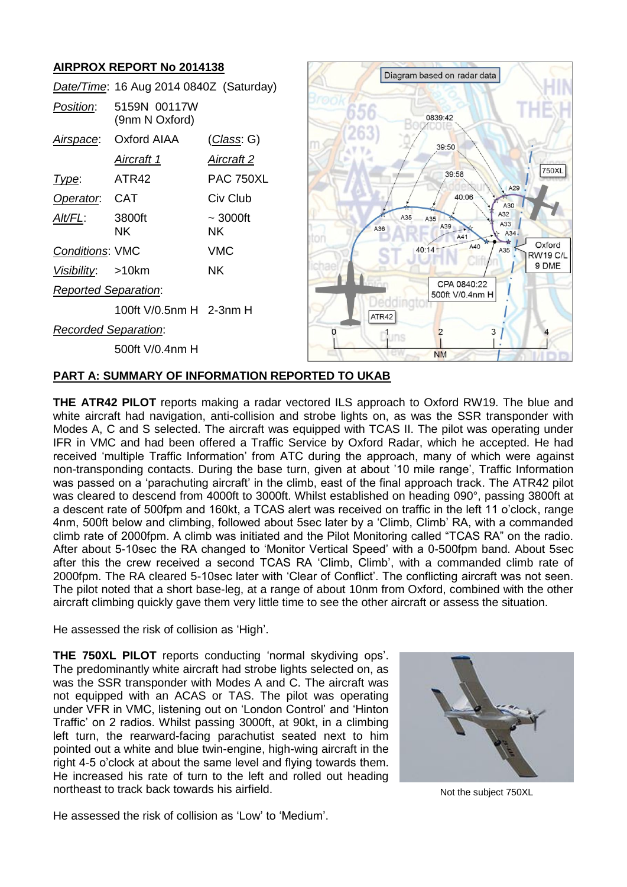# **AIRPROX REPORT No 2014138**

|                             |                                         |                     |            | Diagram based on radar data    |                    |                           |
|-----------------------------|-----------------------------------------|---------------------|------------|--------------------------------|--------------------|---------------------------|
|                             | Date/Time: 16 Aug 2014 0840Z (Saturday) |                     |            |                                |                    |                           |
| Position:                   | 5159N 00117W<br>(9nm N Oxford)          |                     |            | 0839:42                        |                    |                           |
| <u>Airspace:</u>            | Oxford AIAA                             | <u>(Class:</u> G)   |            | 39:50                          |                    |                           |
|                             | <b>Aircraft 1</b>                       | <u>Aircraft 2</u>   |            |                                |                    |                           |
| Type:                       | ATR42                                   | <b>PAC 750XL</b>    |            | 39:58                          | A29                | 750XL                     |
| Operator.                   | <b>CAT</b>                              | Civ Club            |            | 40:06                          | A30                |                           |
| Alt/FL:                     | 3800ft<br><b>NK</b>                     | $\sim$ 3000ft<br>NΚ | A35<br>A36 | A35<br>A39<br>A41              | A32<br>A33<br>A34. |                           |
| Conditions: VMC             |                                         | <b>VMC</b>          |            | A40<br>40:14                   | A35                | Oxford<br><b>RW19 C/L</b> |
| Visibility:                 | >10km                                   | <b>NK</b>           |            |                                |                    | 9 DME                     |
| <b>Reported Separation:</b> |                                         |                     |            | CPA 0840:22<br>500ft V/0.4nm H |                    |                           |
|                             | 100ft V/0.5nm H 2-3nm H                 |                     | ATR42      |                                |                    |                           |
| Recorded Separation:        |                                         |                     | Duns       |                                | 3                  |                           |
|                             | 500ft V/0.4nm H                         |                     |            | <b>NM</b>                      |                    |                           |

## **PART A: SUMMARY OF INFORMATION REPORTED TO UKAB**

**THE ATR42 PILOT** reports making a radar vectored ILS approach to Oxford RW19. The blue and white aircraft had navigation, anti-collision and strobe lights on, as was the SSR transponder with Modes A, C and S selected. The aircraft was equipped with TCAS II. The pilot was operating under IFR in VMC and had been offered a Traffic Service by Oxford Radar, which he accepted. He had received 'multiple Traffic Information' from ATC during the approach, many of which were against non-transponding contacts. During the base turn, given at about '10 mile range', Traffic Information was passed on a 'parachuting aircraft' in the climb, east of the final approach track. The ATR42 pilot was cleared to descend from 4000ft to 3000ft. Whilst established on heading 090°, passing 3800ft at a descent rate of 500fpm and 160kt, a TCAS alert was received on traffic in the left 11 o'clock, range 4nm, 500ft below and climbing, followed about 5sec later by a 'Climb, Climb' RA, with a commanded climb rate of 2000fpm. A climb was initiated and the Pilot Monitoring called "TCAS RA" on the radio. After about 5-10sec the RA changed to 'Monitor Vertical Speed' with a 0-500fpm band. About 5sec after this the crew received a second TCAS RA 'Climb, Climb', with a commanded climb rate of 2000fpm. The RA cleared 5-10sec later with 'Clear of Conflict'. The conflicting aircraft was not seen. The pilot noted that a short base-leg, at a range of about 10nm from Oxford, combined with the other aircraft climbing quickly gave them very little time to see the other aircraft or assess the situation.

He assessed the risk of collision as 'High'.

**THE 750XL PILOT** reports conducting 'normal skydiving ops'. The predominantly white aircraft had strobe lights selected on, as was the SSR transponder with Modes A and C. The aircraft was not equipped with an ACAS or TAS. The pilot was operating under VFR in VMC, listening out on 'London Control' and 'Hinton Traffic' on 2 radios. Whilst passing 3000ft, at 90kt, in a climbing left turn, the rearward-facing parachutist seated next to him pointed out a white and blue twin-engine, high-wing aircraft in the right 4-5 o'clock at about the same level and flying towards them. He increased his rate of turn to the left and rolled out heading northeast to track back towards his airfield.



Not the subject 750XL

He assessed the risk of collision as 'Low' to 'Medium'.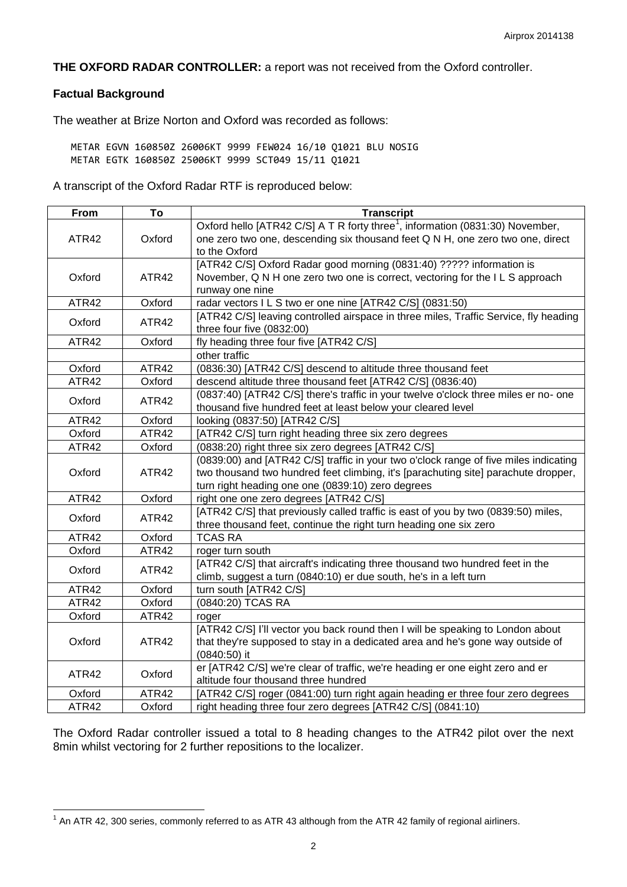**THE OXFORD RADAR CONTROLLER:** a report was not received from the Oxford controller.

## **Factual Background**

The weather at Brize Norton and Oxford was recorded as follows:

METAR EGVN 160850Z 26006KT 9999 FEW024 16/10 Q1021 BLU NOSIG METAR EGTK 160850Z 25006KT 9999 SCT049 15/11 Q1021

A transcript of the Oxford Radar RTF is reproduced below:

| From   | To     | <b>Transcript</b>                                                                         |  |  |
|--------|--------|-------------------------------------------------------------------------------------------|--|--|
|        | Oxford | Oxford hello [ATR42 C/S] A T R forty three <sup>1</sup> , information (0831:30) November, |  |  |
| ATR42  |        | one zero two one, descending six thousand feet Q N H, one zero two one, direct            |  |  |
|        |        | to the Oxford                                                                             |  |  |
|        | ATR42  | [ATR42 C/S] Oxford Radar good morning (0831:40) ????? information is                      |  |  |
| Oxford |        | November, Q N H one zero two one is correct, vectoring for the ILS approach               |  |  |
|        |        | runway one nine                                                                           |  |  |
| ATR42  | Oxford | radar vectors I L S two er one nine [ATR42 C/S] (0831:50)                                 |  |  |
|        | ATR42  | [ATR42 C/S] leaving controlled airspace in three miles, Traffic Service, fly heading      |  |  |
| Oxford |        | three four five (0832:00)                                                                 |  |  |
| ATR42  | Oxford | fly heading three four five [ATR42 C/S]                                                   |  |  |
|        |        | other traffic                                                                             |  |  |
| Oxford | ATR42  | (0836:30) [ATR42 C/S] descend to altitude three thousand feet                             |  |  |
| ATR42  | Oxford | descend altitude three thousand feet [ATR42 C/S] (0836:40)                                |  |  |
|        | ATR42  | (0837:40) [ATR42 C/S] there's traffic in your twelve o'clock three miles er no- one       |  |  |
| Oxford |        | thousand five hundred feet at least below your cleared level                              |  |  |
| ATR42  | Oxford | looking (0837:50) [ATR42 C/S]                                                             |  |  |
| Oxford | ATR42  | [ATR42 C/S] turn right heading three six zero degrees                                     |  |  |
| ATR42  | Oxford | (0838:20) right three six zero degrees [ATR42 C/S]                                        |  |  |
|        | ATR42  | (0839:00) and [ATR42 C/S] traffic in your two o'clock range of five miles indicating      |  |  |
| Oxford |        | two thousand two hundred feet climbing, it's [parachuting site] parachute dropper,        |  |  |
|        |        | turn right heading one one (0839:10) zero degrees                                         |  |  |
| ATR42  | Oxford | right one one zero degrees [ATR42 C/S]                                                    |  |  |
|        | ATR42  | [ATR42 C/S] that previously called traffic is east of you by two (0839:50) miles,         |  |  |
| Oxford |        | three thousand feet, continue the right turn heading one six zero                         |  |  |
| ATR42  | Oxford | <b>TCAS RA</b>                                                                            |  |  |
| Oxford | ATR42  | roger turn south                                                                          |  |  |
|        | ATR42  | [ATR42 C/S] that aircraft's indicating three thousand two hundred feet in the             |  |  |
| Oxford |        | climb, suggest a turn (0840:10) er due south, he's in a left turn                         |  |  |
| ATR42  | Oxford | turn south [ATR42 C/S]                                                                    |  |  |
| ATR42  | Oxford | (0840:20) TCAS RA                                                                         |  |  |
| Oxford | ATR42  | roger                                                                                     |  |  |
|        | ATR42  | [ATR42 C/S] I'll vector you back round then I will be speaking to London about            |  |  |
| Oxford |        | that they're supposed to stay in a dedicated area and he's gone way outside of            |  |  |
|        |        | (0840:50) it                                                                              |  |  |
|        | Oxford | er [ATR42 C/S] we're clear of traffic, we're heading er one eight zero and er             |  |  |
| ATR42  |        | altitude four thousand three hundred                                                      |  |  |
| Oxford | ATR42  | [ATR42 C/S] roger (0841:00) turn right again heading er three four zero degrees           |  |  |
| ATR42  | Oxford | right heading three four zero degrees [ATR42 C/S] (0841:10)                               |  |  |

The Oxford Radar controller issued a total to 8 heading changes to the ATR42 pilot over the next 8min whilst vectoring for 2 further repositions to the localizer.

 1 An ATR 42, 300 series, commonly referred to as ATR 43 although from the ATR 42 family of regional airliners.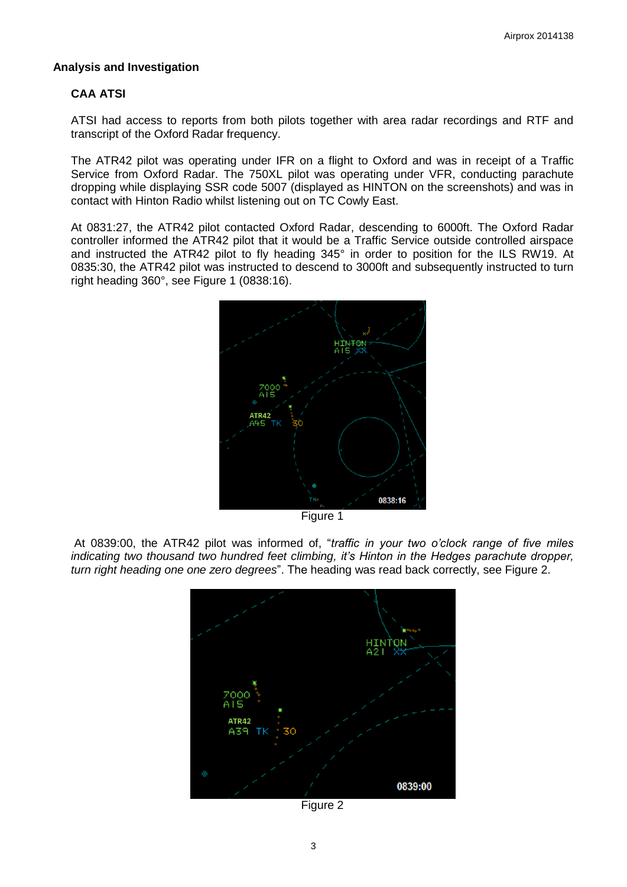## **Analysis and Investigation**

## **CAA ATSI**

ATSI had access to reports from both pilots together with area radar recordings and RTF and transcript of the Oxford Radar frequency.

The ATR42 pilot was operating under IFR on a flight to Oxford and was in receipt of a Traffic Service from Oxford Radar. The 750XL pilot was operating under VFR, conducting parachute dropping while displaying SSR code 5007 (displayed as HINTON on the screenshots) and was in contact with Hinton Radio whilst listening out on TC Cowly East.

At 0831:27, the ATR42 pilot contacted Oxford Radar, descending to 6000ft. The Oxford Radar controller informed the ATR42 pilot that it would be a Traffic Service outside controlled airspace and instructed the ATR42 pilot to fly heading 345° in order to position for the ILS RW19. At 0835:30, the ATR42 pilot was instructed to descend to 3000ft and subsequently instructed to turn right heading 360°, see Figure 1 (0838:16).



Figure 1

At 0839:00, the ATR42 pilot was informed of, "*traffic in your two o'clock range of five miles indicating two thousand two hundred feet climbing, it's Hinton in the Hedges parachute dropper, turn right heading one one zero degrees*". The heading was read back correctly, see Figure 2.



Figure 2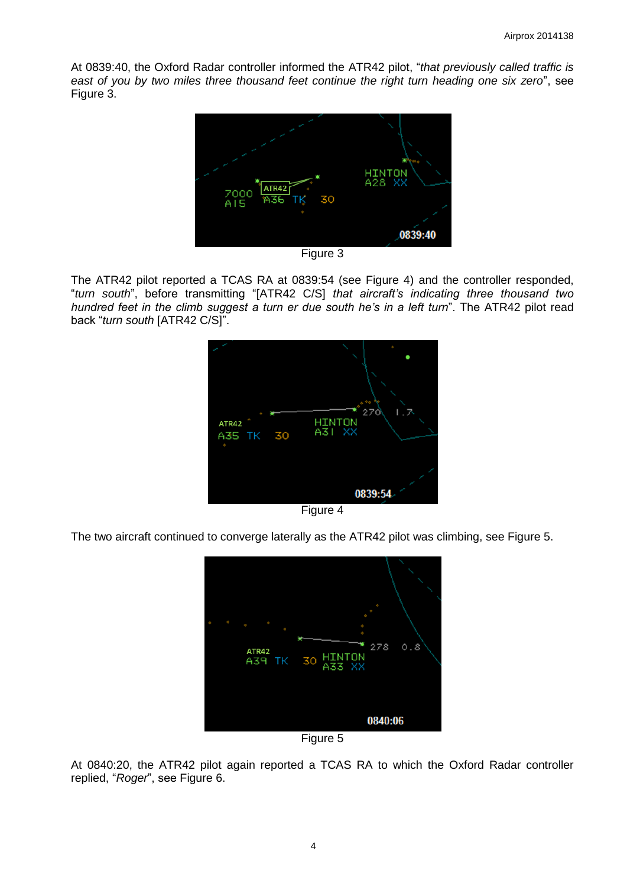At 0839:40, the Oxford Radar controller informed the ATR42 pilot, "*that previously called traffic is east of you by two miles three thousand feet continue the right turn heading one six zero*", see Figure 3.



Figure 3

The ATR42 pilot reported a TCAS RA at 0839:54 (see Figure 4) and the controller responded, "*turn south*", before transmitting "[ATR42 C/S] *that aircraft's indicating three thousand two hundred feet in the climb suggest a turn er due south he's in a left turn*". The ATR42 pilot read back "*turn south* [ATR42 C/S]".



The two aircraft continued to converge laterally as the ATR42 pilot was climbing, see Figure 5.



Figure 5

At 0840:20, the ATR42 pilot again reported a TCAS RA to which the Oxford Radar controller replied, "*Roger*", see Figure 6.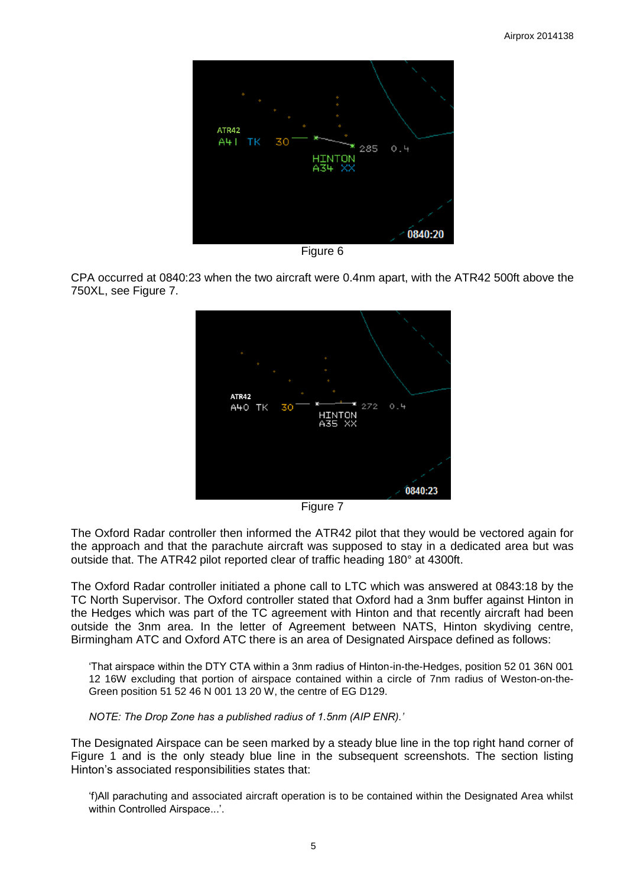

Figure 6

CPA occurred at 0840:23 when the two aircraft were 0.4nm apart, with the ATR42 500ft above the 750XL, see Figure 7.



Figure 7

The Oxford Radar controller then informed the ATR42 pilot that they would be vectored again for the approach and that the parachute aircraft was supposed to stay in a dedicated area but was outside that. The ATR42 pilot reported clear of traffic heading 180° at 4300ft.

The Oxford Radar controller initiated a phone call to LTC which was answered at 0843:18 by the TC North Supervisor. The Oxford controller stated that Oxford had a 3nm buffer against Hinton in the Hedges which was part of the TC agreement with Hinton and that recently aircraft had been outside the 3nm area. In the letter of Agreement between NATS, Hinton skydiving centre, Birmingham ATC and Oxford ATC there is an area of Designated Airspace defined as follows:

'That airspace within the DTY CTA within a 3nm radius of Hinton-in-the-Hedges, position 52 01 36N 001 12 16W excluding that portion of airspace contained within a circle of 7nm radius of Weston-on-the-Green position 51 52 46 N 001 13 20 W, the centre of EG D129.

*NOTE: The Drop Zone has a published radius of 1.5nm (AIP ENR).'*

The Designated Airspace can be seen marked by a steady blue line in the top right hand corner of Figure 1 and is the only steady blue line in the subsequent screenshots. The section listing Hinton's associated responsibilities states that:

'f)All parachuting and associated aircraft operation is to be contained within the Designated Area whilst within Controlled Airspace...'.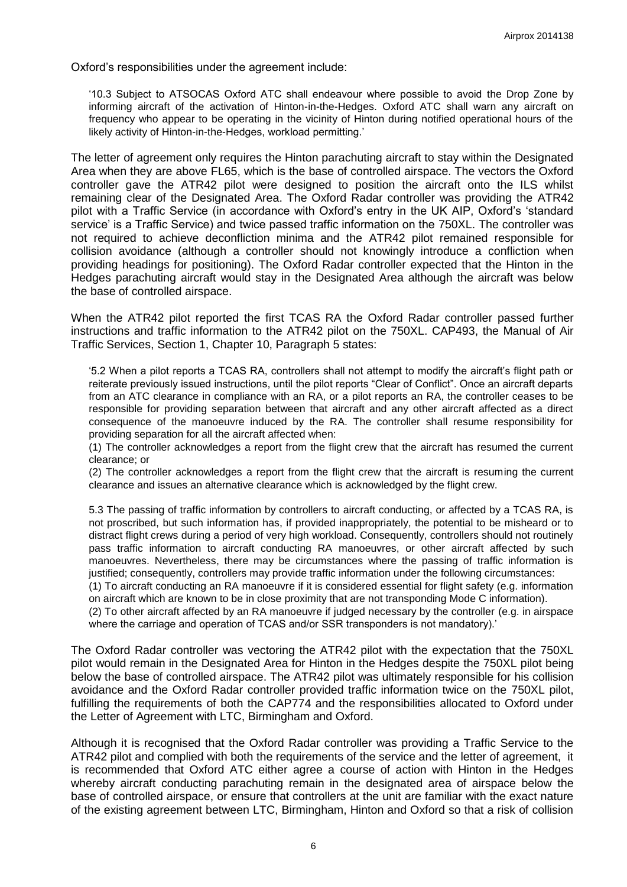Oxford's responsibilities under the agreement include:

'10.3 Subject to ATSOCAS Oxford ATC shall endeavour where possible to avoid the Drop Zone by informing aircraft of the activation of Hinton-in-the-Hedges. Oxford ATC shall warn any aircraft on frequency who appear to be operating in the vicinity of Hinton during notified operational hours of the likely activity of Hinton-in-the-Hedges, workload permitting.'

The letter of agreement only requires the Hinton parachuting aircraft to stay within the Designated Area when they are above FL65, which is the base of controlled airspace. The vectors the Oxford controller gave the ATR42 pilot were designed to position the aircraft onto the ILS whilst remaining clear of the Designated Area. The Oxford Radar controller was providing the ATR42 pilot with a Traffic Service (in accordance with Oxford's entry in the UK AIP, Oxford's 'standard service' is a Traffic Service) and twice passed traffic information on the 750XL. The controller was not required to achieve deconfliction minima and the ATR42 pilot remained responsible for collision avoidance (although a controller should not knowingly introduce a confliction when providing headings for positioning). The Oxford Radar controller expected that the Hinton in the Hedges parachuting aircraft would stay in the Designated Area although the aircraft was below the base of controlled airspace.

When the ATR42 pilot reported the first TCAS RA the Oxford Radar controller passed further instructions and traffic information to the ATR42 pilot on the 750XL. CAP493, the Manual of Air Traffic Services, Section 1, Chapter 10, Paragraph 5 states:

'5.2 When a pilot reports a TCAS RA, controllers shall not attempt to modify the aircraft's flight path or reiterate previously issued instructions, until the pilot reports "Clear of Conflict". Once an aircraft departs from an ATC clearance in compliance with an RA, or a pilot reports an RA, the controller ceases to be responsible for providing separation between that aircraft and any other aircraft affected as a direct consequence of the manoeuvre induced by the RA. The controller shall resume responsibility for providing separation for all the aircraft affected when:

(1) The controller acknowledges a report from the flight crew that the aircraft has resumed the current clearance; or

(2) The controller acknowledges a report from the flight crew that the aircraft is resuming the current clearance and issues an alternative clearance which is acknowledged by the flight crew.

5.3 The passing of traffic information by controllers to aircraft conducting, or affected by a TCAS RA, is not proscribed, but such information has, if provided inappropriately, the potential to be misheard or to distract flight crews during a period of very high workload. Consequently, controllers should not routinely pass traffic information to aircraft conducting RA manoeuvres, or other aircraft affected by such manoeuvres. Nevertheless, there may be circumstances where the passing of traffic information is justified; consequently, controllers may provide traffic information under the following circumstances:

(1) To aircraft conducting an RA manoeuvre if it is considered essential for flight safety (e.g. information on aircraft which are known to be in close proximity that are not transponding Mode C information).

(2) To other aircraft affected by an RA manoeuvre if judged necessary by the controller (e.g. in airspace where the carriage and operation of TCAS and/or SSR transponders is not mandatory).'

The Oxford Radar controller was vectoring the ATR42 pilot with the expectation that the 750XL pilot would remain in the Designated Area for Hinton in the Hedges despite the 750XL pilot being below the base of controlled airspace. The ATR42 pilot was ultimately responsible for his collision avoidance and the Oxford Radar controller provided traffic information twice on the 750XL pilot, fulfilling the requirements of both the CAP774 and the responsibilities allocated to Oxford under the Letter of Agreement with LTC, Birmingham and Oxford.

Although it is recognised that the Oxford Radar controller was providing a Traffic Service to the ATR42 pilot and complied with both the requirements of the service and the letter of agreement, it is recommended that Oxford ATC either agree a course of action with Hinton in the Hedges whereby aircraft conducting parachuting remain in the designated area of airspace below the base of controlled airspace, or ensure that controllers at the unit are familiar with the exact nature of the existing agreement between LTC, Birmingham, Hinton and Oxford so that a risk of collision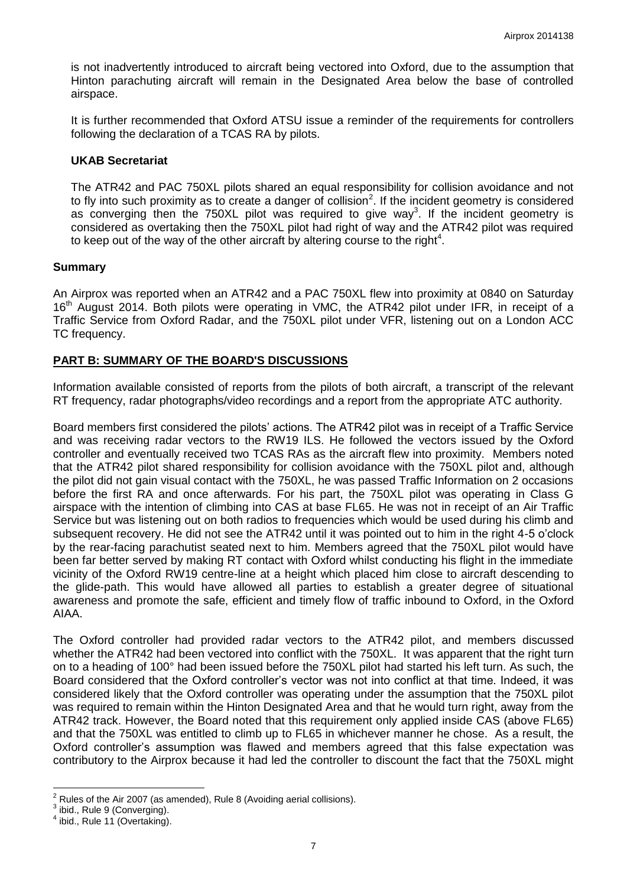is not inadvertently introduced to aircraft being vectored into Oxford, due to the assumption that Hinton parachuting aircraft will remain in the Designated Area below the base of controlled airspace.

It is further recommended that Oxford ATSU issue a reminder of the requirements for controllers following the declaration of a TCAS RA by pilots.

#### **UKAB Secretariat**

The ATR42 and PAC 750XL pilots shared an equal responsibility for collision avoidance and not to fly into such proximity as to create a danger of collision<sup>2</sup>. If the incident geometry is considered as converging then the 750XL pilot was required to give way<sup>3</sup>. If the incident geometry is considered as overtaking then the 750XL pilot had right of way and the ATR42 pilot was required to keep out of the way of the other aircraft by altering course to the right<sup>4</sup>.

#### **Summary**

An Airprox was reported when an ATR42 and a PAC 750XL flew into proximity at 0840 on Saturday 16<sup>th</sup> August 2014. Both pilots were operating in VMC, the ATR42 pilot under IFR, in receipt of a Traffic Service from Oxford Radar, and the 750XL pilot under VFR, listening out on a London ACC TC frequency.

## **PART B: SUMMARY OF THE BOARD'S DISCUSSIONS**

Information available consisted of reports from the pilots of both aircraft, a transcript of the relevant RT frequency, radar photographs/video recordings and a report from the appropriate ATC authority.

Board members first considered the pilots' actions. The ATR42 pilot was in receipt of a Traffic Service and was receiving radar vectors to the RW19 ILS. He followed the vectors issued by the Oxford controller and eventually received two TCAS RAs as the aircraft flew into proximity. Members noted that the ATR42 pilot shared responsibility for collision avoidance with the 750XL pilot and, although the pilot did not gain visual contact with the 750XL, he was passed Traffic Information on 2 occasions before the first RA and once afterwards. For his part, the 750XL pilot was operating in Class G airspace with the intention of climbing into CAS at base FL65. He was not in receipt of an Air Traffic Service but was listening out on both radios to frequencies which would be used during his climb and subsequent recovery. He did not see the ATR42 until it was pointed out to him in the right 4-5 o'clock by the rear-facing parachutist seated next to him. Members agreed that the 750XL pilot would have been far better served by making RT contact with Oxford whilst conducting his flight in the immediate vicinity of the Oxford RW19 centre-line at a height which placed him close to aircraft descending to the glide-path. This would have allowed all parties to establish a greater degree of situational awareness and promote the safe, efficient and timely flow of traffic inbound to Oxford, in the Oxford AIAA.

The Oxford controller had provided radar vectors to the ATR42 pilot, and members discussed whether the ATR42 had been vectored into conflict with the 750XL. It was apparent that the right turn on to a heading of 100° had been issued before the 750XL pilot had started his left turn. As such, the Board considered that the Oxford controller's vector was not into conflict at that time. Indeed, it was considered likely that the Oxford controller was operating under the assumption that the 750XL pilot was required to remain within the Hinton Designated Area and that he would turn right, away from the ATR42 track. However, the Board noted that this requirement only applied inside CAS (above FL65) and that the 750XL was entitled to climb up to FL65 in whichever manner he chose. As a result, the Oxford controller's assumption was flawed and members agreed that this false expectation was contributory to the Airprox because it had led the controller to discount the fact that the 750XL might

 $\overline{a}$ 

 $^2$  Rules of the Air 2007 (as amended), Rule 8 (Avoiding aerial collisions).

 $3$  ibid., Rule 9 (Converging).

 $4$  ibid., Rule 11 (Overtaking).